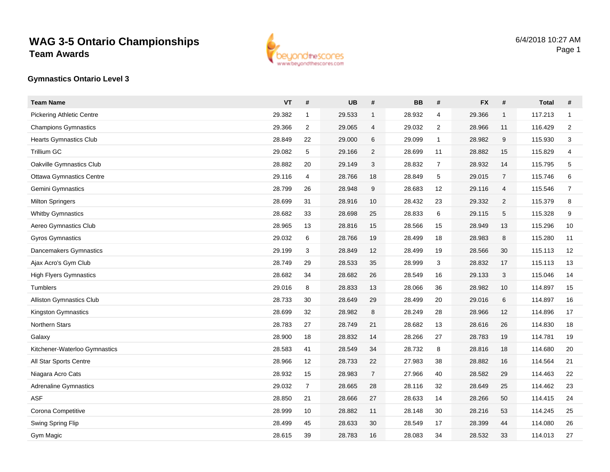

#### **Gymnastics Ontario Level 3**

| <b>Team Name</b>                 | <b>VT</b> | $\pmb{\#}$     | <b>UB</b> | #              | <b>BB</b> | #              | <b>FX</b> | $\#$           | <b>Total</b> | $\#$           |
|----------------------------------|-----------|----------------|-----------|----------------|-----------|----------------|-----------|----------------|--------------|----------------|
| <b>Pickering Athletic Centre</b> | 29.382    | $\mathbf{1}$   | 29.533    | $\mathbf{1}$   | 28.932    | $\overline{4}$ | 29.366    | $\mathbf{1}$   | 117.213      | $\mathbf{1}$   |
| <b>Champions Gymnastics</b>      | 29.366    | $\overline{2}$ | 29.065    | 4              | 29.032    | 2              | 28.966    | 11             | 116.429      | $\overline{2}$ |
| <b>Hearts Gymnastics Club</b>    | 28.849    | 22             | 29.000    | 6              | 29.099    | 1              | 28.982    | 9              | 115.930      | 3              |
| <b>Trillium GC</b>               | 29.082    | 5              | 29.166    | $\overline{c}$ | 28.699    | 11             | 28.882    | 15             | 115.829      | 4              |
| Oakville Gymnastics Club         | 28.882    | 20             | 29.149    | 3              | 28.832    | $\overline{7}$ | 28.932    | 14             | 115.795      | 5              |
| <b>Ottawa Gymnastics Centre</b>  | 29.116    | 4              | 28.766    | 18             | 28.849    | 5              | 29.015    | $\overline{7}$ | 115.746      | 6              |
| Gemini Gymnastics                | 28.799    | 26             | 28.948    | 9              | 28.683    | 12             | 29.116    | 4              | 115.546      | $\overline{7}$ |
| <b>Milton Springers</b>          | 28.699    | 31             | 28.916    | 10             | 28.432    | 23             | 29.332    | $\overline{2}$ | 115.379      | 8              |
| <b>Whitby Gymnastics</b>         | 28.682    | 33             | 28.698    | 25             | 28.833    | 6              | 29.115    | 5              | 115.328      | 9              |
| Aereo Gymnastics Club            | 28.965    | 13             | 28.816    | 15             | 28.566    | 15             | 28.949    | 13             | 115.296      | 10             |
| Gyros Gymnastics                 | 29.032    | 6              | 28.766    | 19             | 28.499    | 18             | 28.983    | 8              | 115.280      | 11             |
| Dancemakers Gymnastics           | 29.199    | 3              | 28.849    | 12             | 28.499    | 19             | 28.566    | 30             | 115.113      | 12             |
| Ajax Acro's Gym Club             | 28.749    | 29             | 28.533    | 35             | 28.999    | 3              | 28.832    | 17             | 115.113      | 13             |
| <b>High Flyers Gymnastics</b>    | 28.682    | 34             | 28.682    | 26             | 28.549    | 16             | 29.133    | 3              | 115.046      | 14             |
| Tumblers                         | 29.016    | 8              | 28.833    | 13             | 28.066    | 36             | 28.982    | 10             | 114.897      | 15             |
| <b>Alliston Gymnastics Club</b>  | 28.733    | 30             | 28.649    | 29             | 28.499    | 20             | 29.016    | 6              | 114.897      | 16             |
| Kingston Gymnastics              | 28.699    | 32             | 28.982    | 8              | 28.249    | 28             | 28.966    | 12             | 114.896      | 17             |
| Northern Stars                   | 28.783    | 27             | 28.749    | 21             | 28.682    | 13             | 28.616    | 26             | 114.830      | 18             |
| Galaxy                           | 28.900    | 18             | 28.832    | 14             | 28.266    | 27             | 28.783    | 19             | 114.781      | 19             |
| Kitchener-Waterloo Gymnastics    | 28.583    | 41             | 28.549    | 34             | 28.732    | 8              | 28.816    | 18             | 114.680      | 20             |
| All Star Sports Centre           | 28.966    | 12             | 28.733    | 22             | 27.983    | 38             | 28.882    | 16             | 114.564      | 21             |
| Niagara Acro Cats                | 28.932    | 15             | 28.983    | $\overline{7}$ | 27.966    | 40             | 28.582    | 29             | 114.463      | 22             |
| <b>Adrenaline Gymnastics</b>     | 29.032    | $\overline{7}$ | 28.665    | 28             | 28.116    | 32             | 28.649    | 25             | 114.462      | 23             |
| <b>ASF</b>                       | 28.850    | 21             | 28.666    | 27             | 28.633    | 14             | 28.266    | 50             | 114.415      | 24             |
| Corona Competitive               | 28.999    | 10             | 28.882    | 11             | 28.148    | 30             | 28.216    | 53             | 114.245      | 25             |
| Swing Spring Flip                | 28.499    | 45             | 28.633    | 30             | 28.549    | 17             | 28.399    | 44             | 114.080      | 26             |
| Gym Magic                        | 28.615    | 39             | 28.783    | 16             | 28.083    | 34             | 28.532    | 33             | 114.013      | 27             |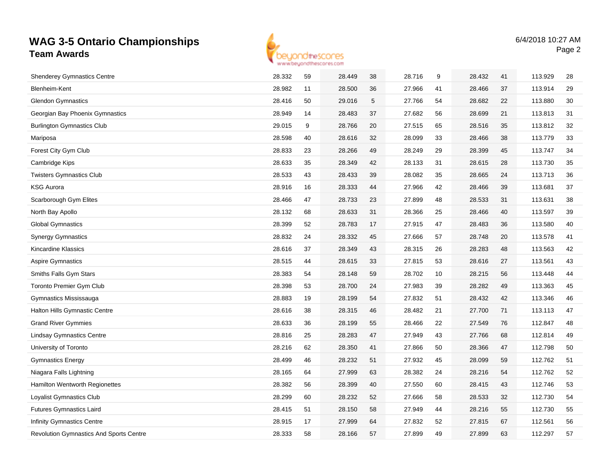

| <b>Shenderey Gymnastics Centre</b>             | 28.332 | 59 | 28.449 | 38 | 28.716 | 9  | 28.432 | 41 | 113.929 | 28 |
|------------------------------------------------|--------|----|--------|----|--------|----|--------|----|---------|----|
| Blenheim-Kent                                  | 28.982 | 11 | 28.500 | 36 | 27.966 | 41 | 28.466 | 37 | 113.914 | 29 |
| <b>Glendon Gymnastics</b>                      | 28.416 | 50 | 29.016 | 5  | 27.766 | 54 | 28.682 | 22 | 113.880 | 30 |
| Georgian Bay Phoenix Gymnastics                | 28.949 | 14 | 28.483 | 37 | 27.682 | 56 | 28.699 | 21 | 113.813 | 31 |
| <b>Burlington Gymnastics Club</b>              | 29.015 | 9  | 28.766 | 20 | 27.515 | 65 | 28.516 | 35 | 113.812 | 32 |
| Mariposa                                       | 28.598 | 40 | 28.616 | 32 | 28.099 | 33 | 28.466 | 38 | 113.779 | 33 |
| Forest City Gym Club                           | 28.833 | 23 | 28.266 | 49 | 28.249 | 29 | 28.399 | 45 | 113.747 | 34 |
| Cambridge Kips                                 | 28.633 | 35 | 28.349 | 42 | 28.133 | 31 | 28.615 | 28 | 113.730 | 35 |
| <b>Twisters Gymnastics Club</b>                | 28.533 | 43 | 28.433 | 39 | 28.082 | 35 | 28.665 | 24 | 113.713 | 36 |
| <b>KSG Aurora</b>                              | 28.916 | 16 | 28.333 | 44 | 27.966 | 42 | 28.466 | 39 | 113.681 | 37 |
| Scarborough Gym Elites                         | 28.466 | 47 | 28.733 | 23 | 27.899 | 48 | 28.533 | 31 | 113.631 | 38 |
| North Bay Apollo                               | 28.132 | 68 | 28.633 | 31 | 28.366 | 25 | 28.466 | 40 | 113.597 | 39 |
| <b>Global Gymnastics</b>                       | 28.399 | 52 | 28.783 | 17 | 27.915 | 47 | 28.483 | 36 | 113.580 | 40 |
| <b>Synergy Gymnastics</b>                      | 28.832 | 24 | 28.332 | 45 | 27.666 | 57 | 28.748 | 20 | 113.578 | 41 |
| Kincardine Klassics                            | 28.616 | 37 | 28.349 | 43 | 28.315 | 26 | 28.283 | 48 | 113.563 | 42 |
| <b>Aspire Gymnastics</b>                       | 28.515 | 44 | 28.615 | 33 | 27.815 | 53 | 28.616 | 27 | 113.561 | 43 |
| Smiths Falls Gym Stars                         | 28.383 | 54 | 28.148 | 59 | 28.702 | 10 | 28.215 | 56 | 113.448 | 44 |
| <b>Toronto Premier Gym Club</b>                | 28.398 | 53 | 28.700 | 24 | 27.983 | 39 | 28.282 | 49 | 113.363 | 45 |
| Gymnastics Mississauga                         | 28.883 | 19 | 28.199 | 54 | 27.832 | 51 | 28.432 | 42 | 113.346 | 46 |
| <b>Halton Hills Gymnastic Centre</b>           | 28.616 | 38 | 28.315 | 46 | 28.482 | 21 | 27.700 | 71 | 113.113 | 47 |
| <b>Grand River Gymmies</b>                     | 28.633 | 36 | 28.199 | 55 | 28.466 | 22 | 27.549 | 76 | 112.847 | 48 |
| <b>Lindsay Gymnastics Centre</b>               | 28.816 | 25 | 28.283 | 47 | 27.949 | 43 | 27.766 | 68 | 112.814 | 49 |
| University of Toronto                          | 28.216 | 62 | 28.350 | 41 | 27.866 | 50 | 28.366 | 47 | 112.798 | 50 |
| <b>Gymnastics Energy</b>                       | 28.499 | 46 | 28.232 | 51 | 27.932 | 45 | 28.099 | 59 | 112.762 | 51 |
| Niagara Falls Lightning                        | 28.165 | 64 | 27.999 | 63 | 28.382 | 24 | 28.216 | 54 | 112.762 | 52 |
| <b>Hamilton Wentworth Regionettes</b>          | 28.382 | 56 | 28.399 | 40 | 27.550 | 60 | 28.415 | 43 | 112.746 | 53 |
| Loyalist Gymnastics Club                       | 28.299 | 60 | 28.232 | 52 | 27.666 | 58 | 28.533 | 32 | 112.730 | 54 |
| <b>Futures Gymnastics Laird</b>                | 28.415 | 51 | 28.150 | 58 | 27.949 | 44 | 28.216 | 55 | 112.730 | 55 |
| <b>Infinity Gymnastics Centre</b>              | 28.915 | 17 | 27.999 | 64 | 27.832 | 52 | 27.815 | 67 | 112.561 | 56 |
| <b>Revolution Gymnastics And Sports Centre</b> | 28.333 | 58 | 28.166 | 57 | 27.899 | 49 | 27.899 | 63 | 112.297 | 57 |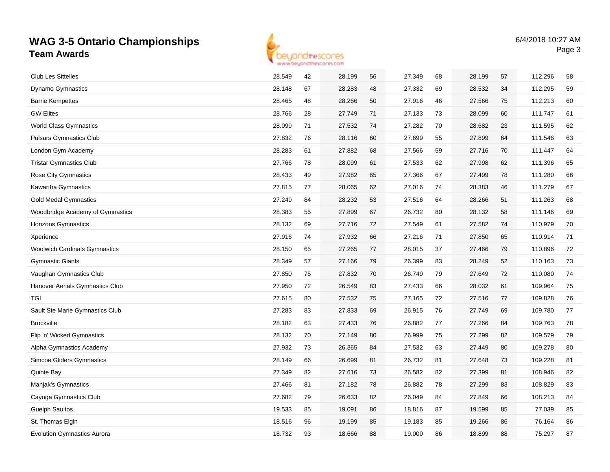

| <b>Club Les Sittelles</b>            | 28.549 | 42 | 28.199 | 56 | 27.349 | 68 | 28.199 | 57 | 112.296 | 58 |
|--------------------------------------|--------|----|--------|----|--------|----|--------|----|---------|----|
| <b>Dynamo Gymnastics</b>             | 28.148 | 67 | 28.283 | 48 | 27.332 | 69 | 28.532 | 34 | 112.295 | 59 |
| <b>Barrie Kempettes</b>              | 28.465 | 48 | 28.266 | 50 | 27.916 | 46 | 27.566 | 75 | 112.213 | 60 |
| <b>GW Elites</b>                     | 28.766 | 28 | 27.749 | 71 | 27.133 | 73 | 28.099 | 60 | 111.747 | 61 |
| <b>World Class Gymnastics</b>        | 28.099 | 71 | 27.532 | 74 | 27.282 | 70 | 28.682 | 23 | 111.595 | 62 |
| <b>Pulsars Gymnastics Club</b>       | 27.832 | 76 | 28.116 | 60 | 27.699 | 55 | 27.899 | 64 | 111.546 | 63 |
| London Gym Academy                   | 28.283 | 61 | 27.882 | 68 | 27.566 | 59 | 27.716 | 70 | 111.447 | 64 |
| <b>Tristar Gymnastics Club</b>       | 27.766 | 78 | 28.099 | 61 | 27.533 | 62 | 27.998 | 62 | 111.396 | 65 |
| Rose City Gymnastics                 | 28.433 | 49 | 27.982 | 65 | 27.366 | 67 | 27.499 | 78 | 111.280 | 66 |
| Kawartha Gymnastics                  | 27.815 | 77 | 28.065 | 62 | 27.016 | 74 | 28.383 | 46 | 111.279 | 67 |
| <b>Gold Medal Gymnastics</b>         | 27.249 | 84 | 28.232 | 53 | 27.516 | 64 | 28.266 | 51 | 111.263 | 68 |
| Woodbridge Academy of Gymnastics     | 28.383 | 55 | 27.899 | 67 | 26.732 | 80 | 28.132 | 58 | 111.146 | 69 |
| Horizons Gymnastics                  | 28.132 | 69 | 27.716 | 72 | 27.549 | 61 | 27.582 | 74 | 110.979 | 70 |
| Xperience                            | 27.916 | 74 | 27.932 | 66 | 27.216 | 71 | 27.850 | 65 | 110.914 | 71 |
| <b>Woolwich Cardinals Gymnastics</b> | 28.150 | 65 | 27.265 | 77 | 28.015 | 37 | 27.466 | 79 | 110.896 | 72 |
| <b>Gymnastic Giants</b>              | 28.349 | 57 | 27.166 | 79 | 26.399 | 83 | 28.249 | 52 | 110.163 | 73 |
| Vaughan Gymnastics Club              | 27.850 | 75 | 27.832 | 70 | 26.749 | 79 | 27.649 | 72 | 110.080 | 74 |
| Hanover Aerials Gymnastics Club      | 27.950 | 72 | 26.549 | 83 | 27.433 | 66 | 28.032 | 61 | 109.964 | 75 |
| <b>TGI</b>                           | 27.615 | 80 | 27.532 | 75 | 27.165 | 72 | 27.516 | 77 | 109.828 | 76 |
| Sault Ste Marie Gymnastics Club      | 27.283 | 83 | 27.833 | 69 | 26.915 | 76 | 27.749 | 69 | 109.780 | 77 |
| <b>Brockville</b>                    | 28.182 | 63 | 27.433 | 76 | 26.882 | 77 | 27.266 | 84 | 109.763 | 78 |
| Flip 'n' Wicked Gymnastics           | 28.132 | 70 | 27.149 | 80 | 26.999 | 75 | 27.299 | 82 | 109.579 | 79 |
| Alpha Gymnastics Academy             | 27.932 | 73 | 26.365 | 84 | 27.532 | 63 | 27.449 | 80 | 109.278 | 80 |
| <b>Simcoe Gliders Gymnastics</b>     | 28.149 | 66 | 26.699 | 81 | 26.732 | 81 | 27.648 | 73 | 109.228 | 81 |
| Quinte Bay                           | 27.349 | 82 | 27.616 | 73 | 26.582 | 82 | 27.399 | 81 | 108.946 | 82 |
| Manjak's Gymnastics                  | 27.466 | 81 | 27.182 | 78 | 26.882 | 78 | 27.299 | 83 | 108.829 | 83 |
| Cayuga Gymnastics Club               | 27.682 | 79 | 26.633 | 82 | 26.049 | 84 | 27.849 | 66 | 108.213 | 84 |
| <b>Guelph Saultos</b>                | 19.533 | 85 | 19.091 | 86 | 18.816 | 87 | 19.599 | 85 | 77.039  | 85 |
| St. Thomas Elgin                     | 18.516 | 96 | 19.199 | 85 | 19.183 | 85 | 19.266 | 86 | 76.164  | 86 |
| <b>Evolution Gymnastics Aurora</b>   | 18.732 | 93 | 18.666 | 88 | 19.000 | 86 | 18.899 | 88 | 75.297  | 87 |